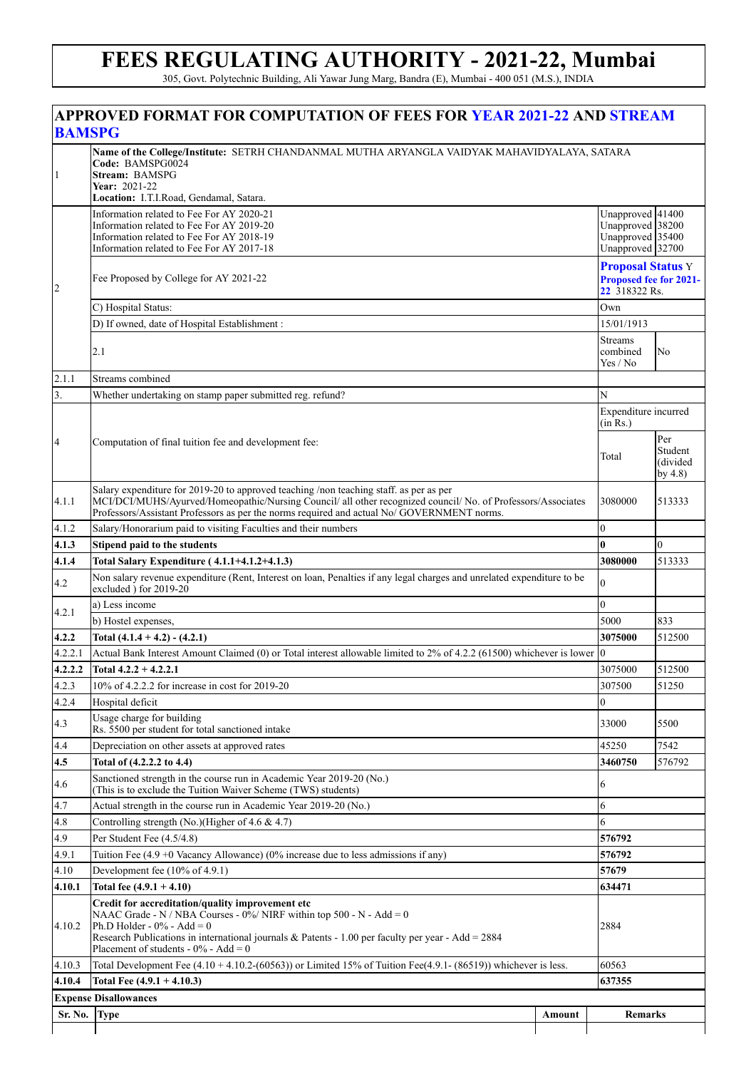## **FEES REGULATING AUTHORITY - 2021-22, Mumbai**

305, Govt. Polytechnic Building, Ali Yawar Jung Marg, Bandra (E), Mumbai - 400 051 (M.S.), INDIA

|                      | APPROVED FORMAT FOR COMPUTATION OF FEES FOR YEAR 2021-22 AND STREAM<br><b>BAMSPG</b>                                                                                                                                                                                                                             |        |                                                                              |                                          |  |  |
|----------------------|------------------------------------------------------------------------------------------------------------------------------------------------------------------------------------------------------------------------------------------------------------------------------------------------------------------|--------|------------------------------------------------------------------------------|------------------------------------------|--|--|
| $\mathbf{1}$         | Name of the College/Institute: SETRH CHANDANMAL MUTHA ARYANGLA VAIDYAK MAHAVIDYALAYA, SATARA<br>Code: BAMSPG0024<br>Stream: BAMSPG<br>Year: 2021-22<br>Location: I.T.I.Road, Gendamal, Satara.                                                                                                                   |        |                                                                              |                                          |  |  |
|                      | Information related to Fee For AY 2020-21<br>Information related to Fee For AY 2019-20<br>Information related to Fee For AY 2018-19<br>Information related to Fee For AY 2017-18                                                                                                                                 |        | Unapproved 41400<br>Unapproved 38200<br>Unapproved 35400<br>Unapproved 32700 |                                          |  |  |
| $\vert$ <sub>2</sub> | Fee Proposed by College for AY 2021-22                                                                                                                                                                                                                                                                           |        | <b>Proposal Status Y</b><br><b>Proposed fee for 2021-</b><br>22 318322 Rs.   |                                          |  |  |
|                      | C) Hospital Status:<br>D) If owned, date of Hospital Establishment :                                                                                                                                                                                                                                             |        | Own                                                                          |                                          |  |  |
|                      |                                                                                                                                                                                                                                                                                                                  |        | 15/01/1913                                                                   |                                          |  |  |
|                      | 2.1                                                                                                                                                                                                                                                                                                              |        | Streams<br>combined<br>Yes / No                                              | No                                       |  |  |
| 2.1.1                | Streams combined                                                                                                                                                                                                                                                                                                 |        |                                                                              |                                          |  |  |
| 3.                   | Whether undertaking on stamp paper submitted reg. refund?                                                                                                                                                                                                                                                        |        |                                                                              | N                                        |  |  |
|                      |                                                                                                                                                                                                                                                                                                                  |        | Expenditure incurred<br>(in Rs.)                                             |                                          |  |  |
| $\overline{A}$       | Computation of final tuition fee and development fee:                                                                                                                                                                                                                                                            |        | Total                                                                        | Per<br>Student<br>(divided<br>by $4.8$ ) |  |  |
| 4.1.1                | Salary expenditure for 2019-20 to approved teaching /non teaching staff. as per as per<br>MCI/DCI/MUHS/Ayurved/Homeopathic/Nursing Council/ all other recognized council/ No. of Professors/Associates<br>Professors/Assistant Professors as per the norms required and actual No/ GOVERNMENT norms.             |        | 3080000                                                                      | 513333                                   |  |  |
| 4.1.2                | Salary/Honorarium paid to visiting Faculties and their numbers                                                                                                                                                                                                                                                   |        | $\overline{0}$                                                               |                                          |  |  |
| 4.1.3                | Stipend paid to the students                                                                                                                                                                                                                                                                                     |        | $\bf{0}$                                                                     | $\Omega$                                 |  |  |
| 4.1.4                | Total Salary Expenditure (4.1.1+4.1.2+4.1.3)                                                                                                                                                                                                                                                                     |        | 3080000                                                                      | 513333                                   |  |  |
| 4.2                  | Non salary revenue expenditure (Rent, Interest on loan, Penalties if any legal charges and unrelated expenditure to be<br>excluded ) for 2019-20                                                                                                                                                                 |        | $\theta$                                                                     |                                          |  |  |
| 4.2.1                | a) Less income                                                                                                                                                                                                                                                                                                   |        | $\theta$                                                                     |                                          |  |  |
|                      | b) Hostel expenses,                                                                                                                                                                                                                                                                                              |        | 5000                                                                         | 833                                      |  |  |
| 4.2.2                | Total $(4.1.4 + 4.2) - (4.2.1)$                                                                                                                                                                                                                                                                                  |        | 3075000                                                                      | 512500                                   |  |  |
| 4.2.2.1              | Actual Bank Interest Amount Claimed (0) or Total interest allowable limited to 2% of 4.2.2 (61500) whichever is lower                                                                                                                                                                                            |        | $\overline{0}$                                                               |                                          |  |  |
| 4.2.2.2              | Total $4.2.2 + 4.2.2.1$                                                                                                                                                                                                                                                                                          |        | 3075000                                                                      | 512500                                   |  |  |
| 4.2.3                | 10% of 4.2.2.2 for increase in cost for 2019-20                                                                                                                                                                                                                                                                  |        | 307500                                                                       | 51250                                    |  |  |
| 4.2.4                | Hospital deficit                                                                                                                                                                                                                                                                                                 |        | 0                                                                            |                                          |  |  |
| 4.3                  | Usage charge for building<br>Rs. 5500 per student for total sanctioned intake<br>Depreciation on other assets at approved rates                                                                                                                                                                                  |        | 33000<br>45250                                                               | 5500<br>7542                             |  |  |
| 4.4<br>4.5           |                                                                                                                                                                                                                                                                                                                  |        | 3460750                                                                      | 576792                                   |  |  |
| 4.6                  | Total of (4.2.2.2 to 4.4)<br>Sanctioned strength in the course run in Academic Year 2019-20 (No.)<br>(This is to exclude the Tuition Waiver Scheme (TWS) students)                                                                                                                                               |        | 6                                                                            |                                          |  |  |
| 4.7                  | Actual strength in the course run in Academic Year 2019-20 (No.)                                                                                                                                                                                                                                                 |        | 6                                                                            |                                          |  |  |
| 4.8                  | Controlling strength (No.)(Higher of 4.6 & 4.7)                                                                                                                                                                                                                                                                  |        | 6                                                                            |                                          |  |  |
| 4.9                  | Per Student Fee (4.5/4.8)                                                                                                                                                                                                                                                                                        |        | 576792                                                                       |                                          |  |  |
| 4.9.1                | Tuition Fee $(4.9 + 0$ Vacancy Allowance) (0% increase due to less admissions if any)                                                                                                                                                                                                                            |        | 576792                                                                       |                                          |  |  |
| 4.10                 | Development fee (10% of 4.9.1)                                                                                                                                                                                                                                                                                   |        | 57679                                                                        |                                          |  |  |
| 4.10.1               | Total fee $(4.9.1 + 4.10)$                                                                                                                                                                                                                                                                                       |        | 634471                                                                       |                                          |  |  |
| 4.10.2               | Credit for accreditation/quality improvement etc<br>NAAC Grade - N / NBA Courses - $0\%$ / NIRF within top 500 - N - Add = 0<br>Ph.D Holder - $0\%$ - Add = 0<br>Research Publications in international journals & Patents - 1.00 per faculty per year - Add = $2884$<br>Placement of students - $0\%$ - Add = 0 |        | 2884                                                                         |                                          |  |  |
| 4.10.3               | Total Development Fee $(4.10 + 4.10.2 - (60563))$ or Limited 15% of Tuition Fee $(4.9.1 - (86519))$ whichever is less.                                                                                                                                                                                           |        | 60563                                                                        |                                          |  |  |
| 4.10.4               | Total Fee $(4.9.1 + 4.10.3)$                                                                                                                                                                                                                                                                                     |        | 637355                                                                       |                                          |  |  |
|                      | <b>Expense Disallowances</b>                                                                                                                                                                                                                                                                                     |        |                                                                              |                                          |  |  |
| Sr. No.              | <b>Type</b>                                                                                                                                                                                                                                                                                                      | Amount | <b>Remarks</b>                                                               |                                          |  |  |